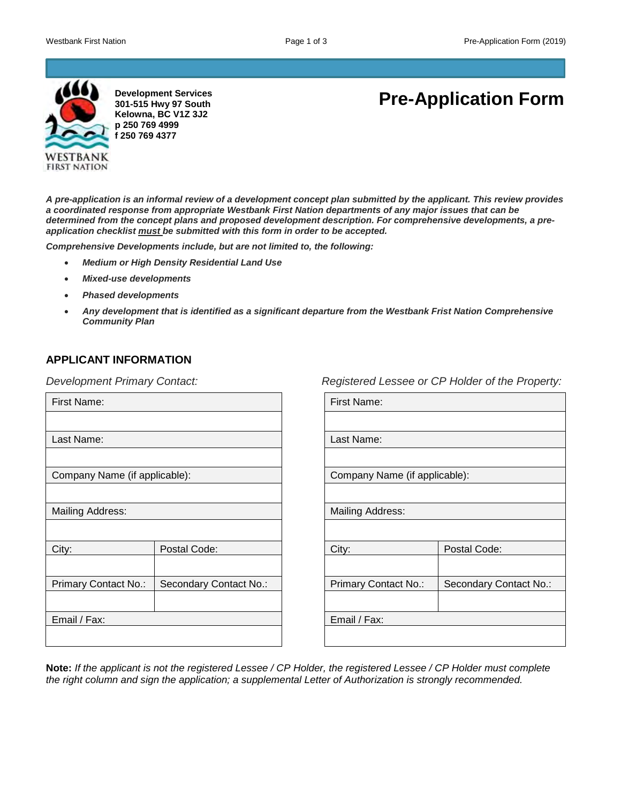

**Development Services 301-515 Hwy 97 South Kelowna, BC V1Z 3J2 p 250 769 4999 f 250 769 4377**

# **Pre-Application Form**

*A pre-application is an informal review of a development concept plan submitted by the applicant. This review provides a coordinated response from appropriate Westbank First Nation departments of any major issues that can be determined from the concept plans and proposed development description. For comprehensive developments, a preapplication checklist must be submitted with this form in order to be accepted.*

*Comprehensive Developments include, but are not limited to, the following:* 

- *Medium or High Density Residential Land Use*
- *Mixed-use developments*
- *Phased developments*
- *Any development that is identified as a significant departure from the Westbank Frist Nation Comprehensive Community Plan*

## **APPLICANT INFORMATION**

*Development Primary Contact:* 

| First Name:                   |                        |  |
|-------------------------------|------------------------|--|
|                               |                        |  |
| Last Name:                    |                        |  |
|                               |                        |  |
| Company Name (if applicable): |                        |  |
|                               |                        |  |
| <b>Mailing Address:</b>       |                        |  |
|                               |                        |  |
| City:                         | Postal Code:           |  |
|                               |                        |  |
| Primary Contact No.:          | Secondary Contact No.: |  |
|                               |                        |  |
| Email / Fax:                  |                        |  |
|                               |                        |  |

*Registered Lessee or CP Holder of the Property:*

| First Name:                   |                        |  |
|-------------------------------|------------------------|--|
|                               |                        |  |
| Last Name:                    |                        |  |
|                               |                        |  |
| Company Name (if applicable): |                        |  |
|                               |                        |  |
| <b>Mailing Address:</b>       |                        |  |
|                               |                        |  |
| City:                         | Postal Code:           |  |
|                               |                        |  |
| Primary Contact No.:          | Secondary Contact No.: |  |
|                               |                        |  |
| Email / Fax:                  |                        |  |
|                               |                        |  |

**Note:** *If the applicant is not the registered Lessee / CP Holder, the registered Lessee / CP Holder must complete the right column and sign the application; a supplemental Letter of Authorization is strongly recommended.*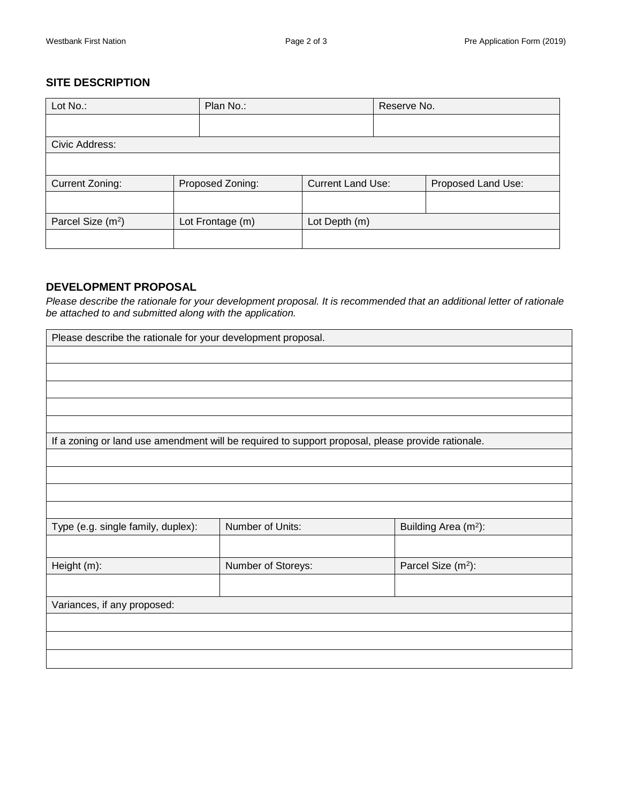## **SITE DESCRIPTION**

| Lot No.:                      | Plan No.:        |                          |  | Reserve No.        |  |
|-------------------------------|------------------|--------------------------|--|--------------------|--|
|                               |                  |                          |  |                    |  |
| Civic Address:                |                  |                          |  |                    |  |
|                               |                  |                          |  |                    |  |
| Current Zoning:               | Proposed Zoning: | <b>Current Land Use:</b> |  | Proposed Land Use: |  |
|                               |                  |                          |  |                    |  |
| Parcel Size (m <sup>2</sup> ) | Lot Frontage (m) | Lot Depth (m)            |  |                    |  |
|                               |                  |                          |  |                    |  |

## **DEVELOPMENT PROPOSAL**

*Please describe the rationale for your development proposal. It is recommended that an additional letter of rationale be attached to and submitted along with the application.*

| Please describe the rationale for your development proposal.                                      |                    |                                  |  |  |
|---------------------------------------------------------------------------------------------------|--------------------|----------------------------------|--|--|
|                                                                                                   |                    |                                  |  |  |
|                                                                                                   |                    |                                  |  |  |
|                                                                                                   |                    |                                  |  |  |
|                                                                                                   |                    |                                  |  |  |
|                                                                                                   |                    |                                  |  |  |
| If a zoning or land use amendment will be required to support proposal, please provide rationale. |                    |                                  |  |  |
|                                                                                                   |                    |                                  |  |  |
|                                                                                                   |                    |                                  |  |  |
|                                                                                                   |                    |                                  |  |  |
|                                                                                                   |                    |                                  |  |  |
| Type (e.g. single family, duplex):                                                                | Number of Units:   | Building Area (m <sup>2</sup> ): |  |  |
|                                                                                                   |                    |                                  |  |  |
| Height (m):                                                                                       | Number of Storeys: | Parcel Size (m <sup>2</sup> ):   |  |  |
|                                                                                                   |                    |                                  |  |  |
| Variances, if any proposed:                                                                       |                    |                                  |  |  |
|                                                                                                   |                    |                                  |  |  |
|                                                                                                   |                    |                                  |  |  |
|                                                                                                   |                    |                                  |  |  |
|                                                                                                   |                    |                                  |  |  |